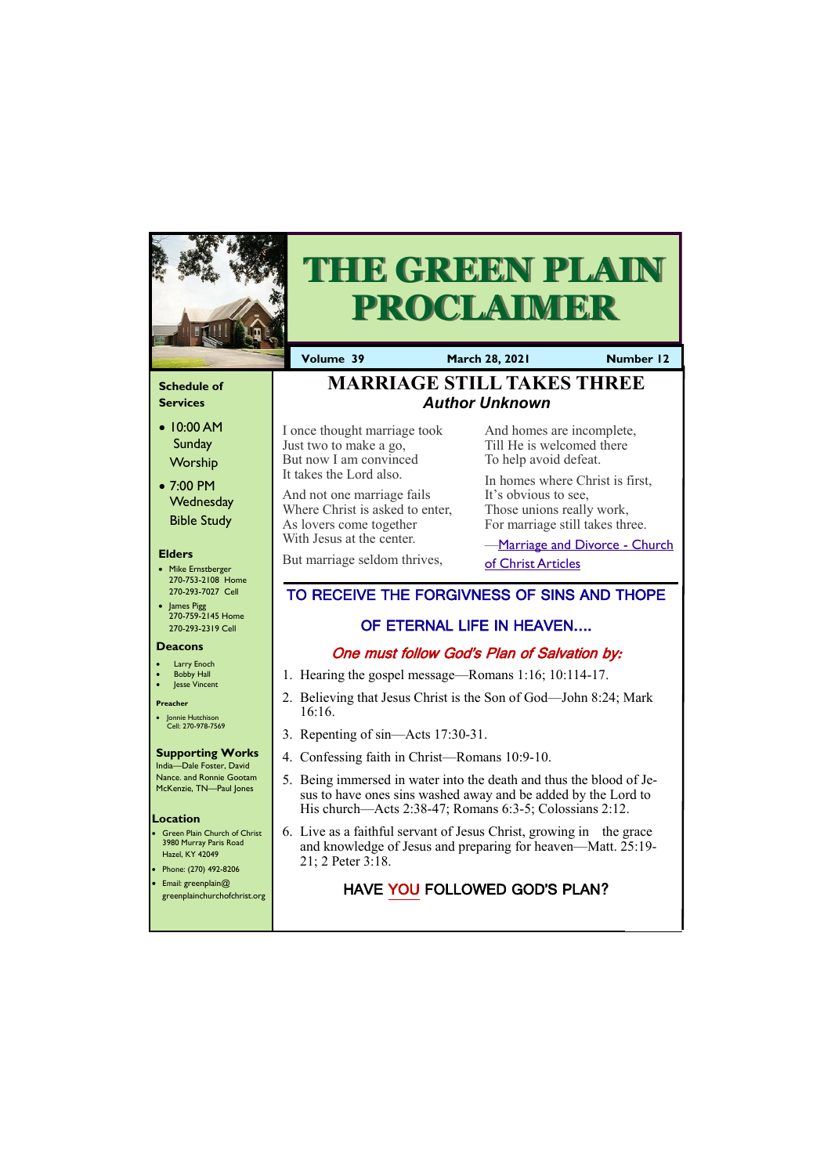#### **Schedule of Services**

- 10:00 AM **Sunday Worship**
- 7:00 PM **Wednesday** Bible Study

#### **Elders**

- Mike Ernstberger 270-753-2108 Home 270-293-7027 Cell
- James Pigg 270-759-2145 Home 270-293-2319 Cell

- **Green Plain Church of Christ** 3980 Murray Paris Road Hazel, KY 42049
- Phone: (270) 492-8206 • Email: greenplain@
- 

#### **Location**

| greenplainchurchofchrist.org |  |
|------------------------------|--|
|------------------------------|--|



# **THE GREEN PLAIN PROCLAIMER**

**Volume 39 March 28, 2021 Number 12**

#### **Deacons**

- **Larry Enoch**
- **Bobby Hall**
- Jesse Vincent

#### **Preacher**

• Jonnie Hutchison Cell: 270-978-7569

#### **Supporting Works**

**-[Marriage and Divorce -](https://churchofchristarticles.com/blog/administrator/the-heart-of-the-matter-i-do/) Church** [of Christ Articles](https://churchofchristarticles.com/blog/administrator/the-heart-of-the-matter-i-do/)

India—Dale Foster, David Nance. and Ronnie Gootam McKenzie, TN—Paul Jones

I once thought marriage took Just two to make a go, But now I am convinced It takes the Lord also.

And not one marriage fails Where Christ is asked to enter, As lovers come together With Jesus at the center.

But marriage seldom thrives,

And homes are incomplete, Till He is welcomed there To help avoid defeat.

In homes where Christ is first, It's obvious to see, Those unions really work, For marriage still takes three.

# **[MARRIAGE STILL TAKES THREE](http://elizabethtoncoc.org/bulletin-articles/light-shines-brightest-in-dark-places)** *Author Unknown*

# TO RECEIVE THE FORGIVNESS OF SINS AND THOPE

## OF ETERNAL LIFE IN HEAVEN….

## One must follow God's Plan of Salvation by:

- 1. Hearing the gospel message—Romans 1:16; 10:114-17.
- 2. Believing that Jesus Christ is the Son of God—John 8:24; Mark 16:16.
- 3. Repenting of sin—Acts 17:30-31.
- 4. Confessing faith in Christ—Romans 10:9-10.
- 5. Being immersed in water into the death and thus the blood of Jesus to have ones sins washed away and be added by the Lord to His church—Acts 2:38-47; Romans 6:3-5; Colossians 2:12.
- 6. Live as a faithful servant of Jesus Christ, growing in the grace and knowledge of Jesus and preparing for heaven—Matt. 25:19- 21; 2 Peter 3:18.

# HAVE YOU FOLLOWED GOD'S PLAN?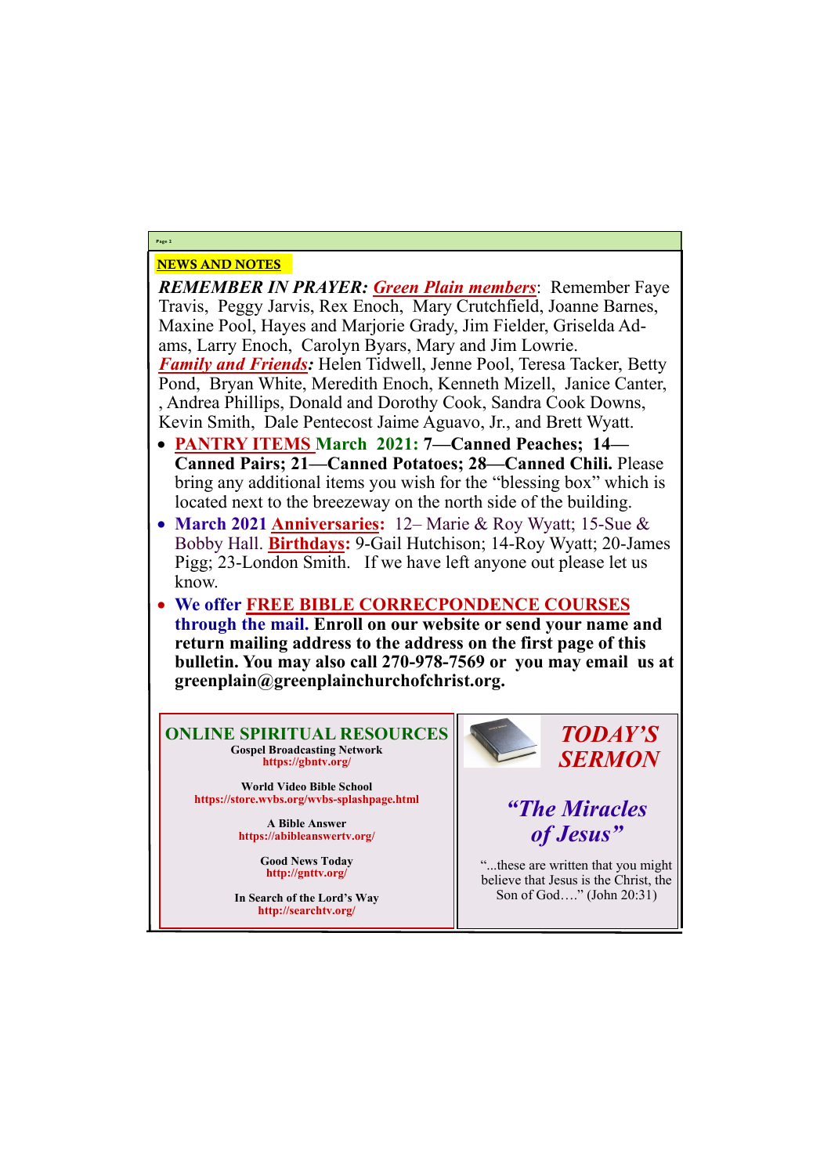# NEWS AND NOTES

*REMEMBER IN PRAYER: Green Plain members*: Remember Faye Travis, Peggy Jarvis, Rex Enoch, Mary Crutchfield, Joanne Barnes, Maxine Pool, Hayes and Marjorie Grady, Jim Fielder, Griselda Adams, Larry Enoch, Carolyn Byars, Mary and Jim Lowrie. *Family and Friends:* Helen Tidwell, Jenne Pool, Teresa Tacker, Betty Pond, Bryan White, Meredith Enoch, Kenneth Mizell, Janice Canter, , Andrea Phillips, Donald and Dorothy Cook, Sandra Cook Downs, Kevin Smith, Dale Pentecost Jaime Aguavo, Jr., and Brett Wyatt.

- **PANTRY ITEMS March 2021: 7—Canned Peaches; 14— Canned Pairs; 21—Canned Potatoes; 28—Canned Chili.** Please bring any additional items you wish for the "blessing box" which is located next to the breezeway on the north side of the building.
- **March 2021 Anniversaries:** 12– Marie & Roy Wyatt; 15-Sue & Bobby Hall. **Birthdays:** 9-Gail Hutchison; 14-Roy Wyatt; 20-James Pigg; 23-London Smith. If we have left anyone out please let us know.
- **We offer FREE BIBLE CORRECPONDENCE COURSES through the mail. Enroll on our website or send your name and return mailing address to the address on the first page of this bulletin. You may also call 270-978-7569 or you may email us at greenplain@greenplainchurchofchrist.org.**

**Page 2**

**ONLINE SPIRITUAL RESOURCES Gospel Broadcasting Network https://gbntv.org/**

**World Video Bible School https://store.wvbs.org/wvbs-splashpage.html**

> **A Bible Answer https://abibleanswertv.org/**

> > **Good News Today http://gnttv.org/**



**In Search of the Lord's Way http://searchtv.org/**

*TODAY'S SERMON*

*"The Miracles of Jesus"*

"...these are written that you might believe that Jesus is the Christ, the

Son of God…." (John 20:31)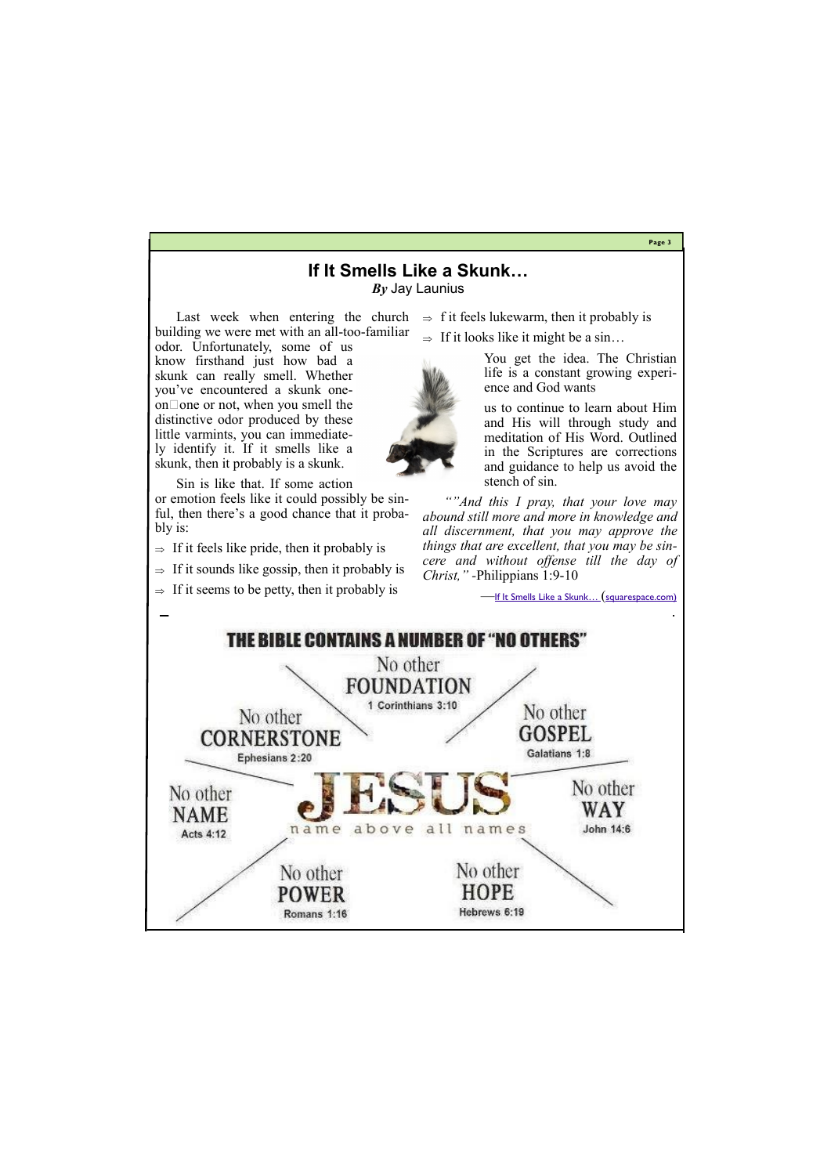**Page 3**

Last week when entering the church building we were met with an all-too-familiar

odor. Unfortunately, some of us know firsthand just how bad a skunk can really smell. Whether you've encountered a skunk oneon one or not, when you smell the distinctive odor produced by these little varmints, you can immediately identify it. If it smells like a skunk, then it probably is a skunk.

Sin is like that. If some action or emotion feels like it could possibly be sinful, then there's a good chance that it probably is:

- $\Rightarrow$  If it feels like pride, then it probably is
- $\Rightarrow$  If it sounds like gossip, then it probably is
- $\Rightarrow$  If it seems to be petty, then it probably is

 $\Rightarrow$  f it feels lukewarm, then it probably is

 $\Rightarrow$  If it looks like it might be a sin...



You get the idea. The Christian life is a constant growing experience and God wants

us to continue to learn about Him and His will through study and meditation of His Word. Outlined in the Scriptures are corrections and guidance to help us avoid the stench of sin.

*""And this I pray, that your love may abound still more and more in knowledge and all discernment, that you may approve the things that are excellent, that you may be sincere and without offense till the day of Christ," -*Philippians 1:9-10

**—If It Smells Like a Skunk...** (squarespace.com)



# **If It Smells Like a Skunk…**

*By* Jay Launius